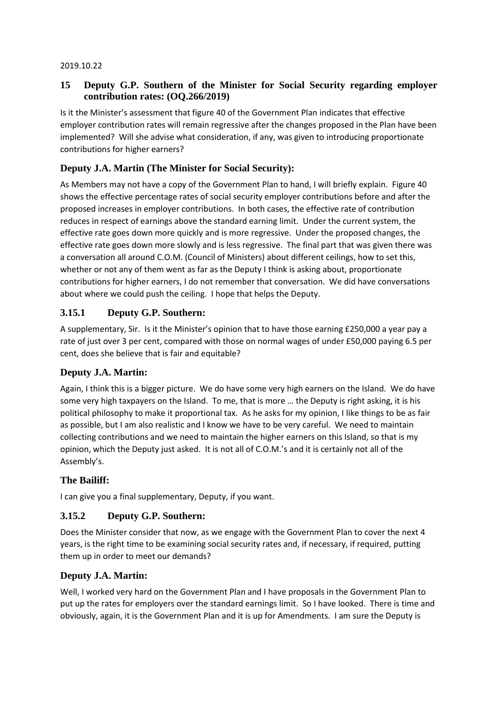#### 2019.10.22

# **15 Deputy G.P. Southern of the Minister for Social Security regarding employer contribution rates: (OQ.266/2019)**

Is it the Minister's assessment that figure 40 of the Government Plan indicates that effective employer contribution rates will remain regressive after the changes proposed in the Plan have been implemented? Will she advise what consideration, if any, was given to introducing proportionate contributions for higher earners?

# **Deputy J.A. Martin (The Minister for Social Security):**

As Members may not have a copy of the Government Plan to hand, I will briefly explain. Figure 40 shows the effective percentage rates of social security employer contributions before and after the proposed increases in employer contributions. In both cases, the effective rate of contribution reduces in respect of earnings above the standard earning limit. Under the current system, the effective rate goes down more quickly and is more regressive. Under the proposed changes, the effective rate goes down more slowly and is less regressive. The final part that was given there was a conversation all around C.O.M. (Council of Ministers) about different ceilings, how to set this, whether or not any of them went as far as the Deputy I think is asking about, proportionate contributions for higher earners, I do not remember that conversation. We did have conversations about where we could push the ceiling. I hope that helps the Deputy.

# **3.15.1 Deputy G.P. Southern:**

A supplementary, Sir. Is it the Minister's opinion that to have those earning £250,000 a year pay a rate of just over 3 per cent, compared with those on normal wages of under £50,000 paying 6.5 per cent, does she believe that is fair and equitable?

## **Deputy J.A. Martin:**

Again, I think this is a bigger picture. We do have some very high earners on the Island. We do have some very high taxpayers on the Island. To me, that is more … the Deputy is right asking, it is his political philosophy to make it proportional tax. As he asks for my opinion, I like things to be as fair as possible, but I am also realistic and I know we have to be very careful. We need to maintain collecting contributions and we need to maintain the higher earners on this Island, so that is my opinion, which the Deputy just asked. It is not all of C.O.M.'s and it is certainly not all of the Assembly's.

## **The Bailiff:**

I can give you a final supplementary, Deputy, if you want.

## **3.15.2 Deputy G.P. Southern:**

Does the Minister consider that now, as we engage with the Government Plan to cover the next 4 years, is the right time to be examining social security rates and, if necessary, if required, putting them up in order to meet our demands?

#### **Deputy J.A. Martin:**

Well, I worked very hard on the Government Plan and I have proposals in the Government Plan to put up the rates for employers over the standard earnings limit. So I have looked. There is time and obviously, again, it is the Government Plan and it is up for Amendments. I am sure the Deputy is